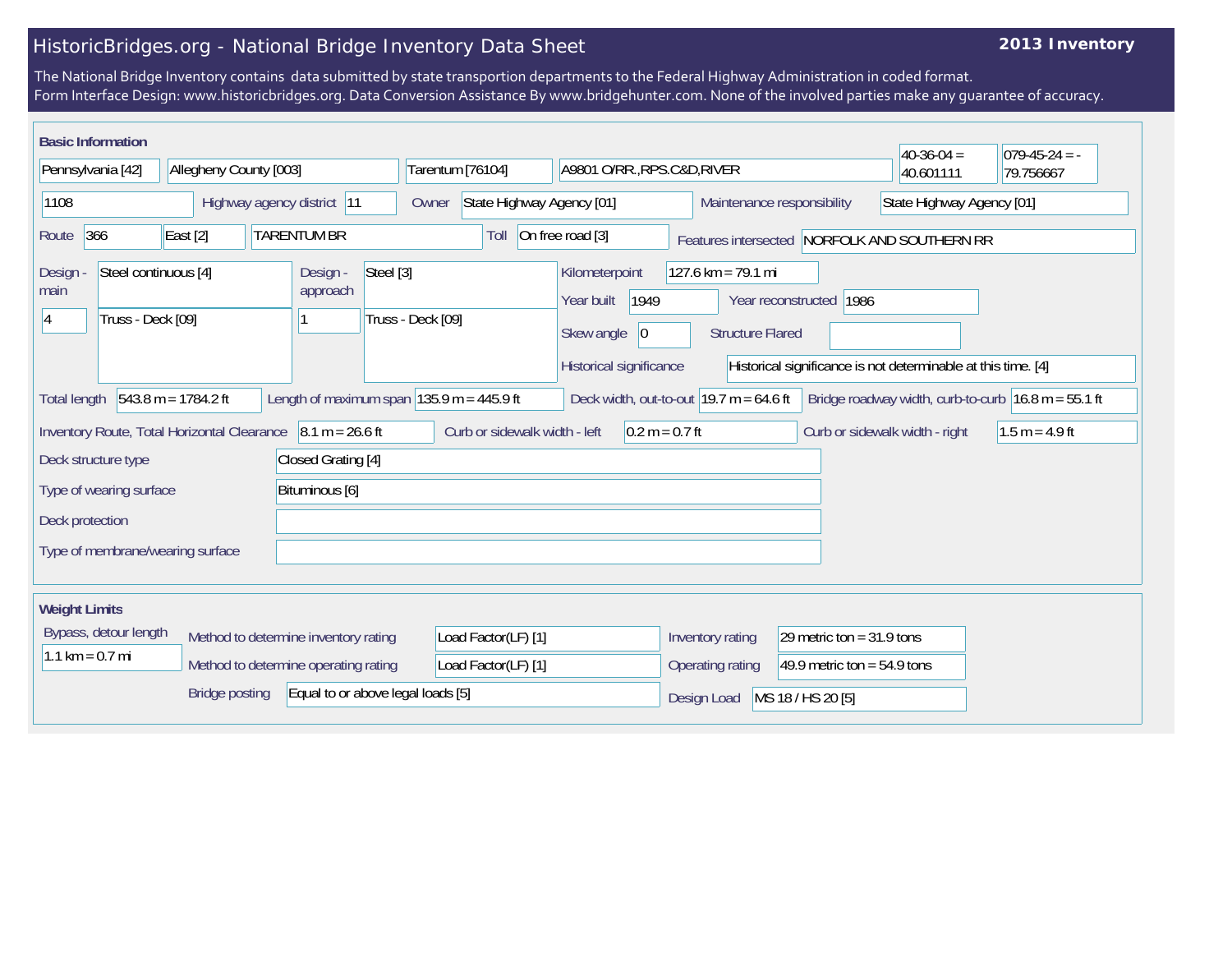## HistoricBridges.org - National Bridge Inventory Data Sheet

## **2013 Inventory**

The National Bridge Inventory contains data submitted by state transportion departments to the Federal Highway Administration in coded format. Form Interface Design: www.historicbridges.org. Data Conversion Assistance By www.bridgehunter.com. None of the involved parties make any guarantee of accuracy.

| <b>Basic Information</b>                                                                                                                                                                                                                                            |                        |                                                                                                                   |                                                                          |                                               |                           |                               | $40-36-04 =$                   | $079-45-24 = -$  |
|---------------------------------------------------------------------------------------------------------------------------------------------------------------------------------------------------------------------------------------------------------------------|------------------------|-------------------------------------------------------------------------------------------------------------------|--------------------------------------------------------------------------|-----------------------------------------------|---------------------------|-------------------------------|--------------------------------|------------------|
| Pennsylvania [42]                                                                                                                                                                                                                                                   | Allegheny County [003] |                                                                                                                   | Tarentum [76104]                                                         | A9801 O/RR., RPS.C&D, RIVER                   |                           |                               | 40.601111                      | 79.756667        |
| Highway agency district 11<br>1108                                                                                                                                                                                                                                  |                        |                                                                                                                   | State Highway Agency [01]<br>Maintenance responsibility<br>Owner         |                                               |                           | State Highway Agency [01]     |                                |                  |
| 366<br><b>TARENTUM BR</b><br>East [2]<br>Route                                                                                                                                                                                                                      |                        |                                                                                                                   | On free road [3]<br>Toll<br>Features intersected NORFOLK AND SOUTHERN RR |                                               |                           |                               |                                |                  |
| Steel [3]<br>Steel continuous [4]<br>Design -<br>Design<br>approach<br>main<br>Truss - Deck [09]                                                                                                                                                                    |                        | Kilometerpoint<br>1949<br>Year built<br>Truss - Deck [09]<br>Skew angle<br>$ 0\rangle$<br>Historical significance |                                                                          | 127.6 km = 79.1 mi<br><b>Structure Flared</b> | Year reconstructed   1986 |                               |                                |                  |
| Historical significance is not determinable at this time. [4]<br>$543.8 m = 1784.2 ft$<br>Length of maximum span $ 135.9 m = 445.9 ft$<br>Deck width, out-to-out $19.7$ m = 64.6 ft<br>Bridge roadway width, curb-to-curb $16.8$ m = 55.1 ft<br><b>Total length</b> |                        |                                                                                                                   |                                                                          |                                               |                           |                               |                                |                  |
| $8.1 m = 26.6 ft$<br>Inventory Route, Total Horizontal Clearance                                                                                                                                                                                                    |                        |                                                                                                                   | Curb or sidewalk width - left<br>$0.2 m = 0.7 ft$                        |                                               |                           |                               | Curb or sidewalk width - right | $1.5 m = 4.9 ft$ |
| Closed Grating [4]<br>Deck structure type                                                                                                                                                                                                                           |                        |                                                                                                                   |                                                                          |                                               |                           |                               |                                |                  |
| Bituminous [6]<br>Type of wearing surface                                                                                                                                                                                                                           |                        |                                                                                                                   |                                                                          |                                               |                           |                               |                                |                  |
| Deck protection                                                                                                                                                                                                                                                     |                        |                                                                                                                   |                                                                          |                                               |                           |                               |                                |                  |
| Type of membrane/wearing surface                                                                                                                                                                                                                                    |                        |                                                                                                                   |                                                                          |                                               |                           |                               |                                |                  |
| <b>Weight Limits</b>                                                                                                                                                                                                                                                |                        |                                                                                                                   |                                                                          |                                               |                           |                               |                                |                  |
| Bypass, detour length                                                                                                                                                                                                                                               |                        | Method to determine inventory rating                                                                              | Load Factor(LF) [1]                                                      |                                               | Inventory rating          | 29 metric ton = $31.9$ tons   |                                |                  |
| $1.1 \text{ km} = 0.7 \text{ mi}$                                                                                                                                                                                                                                   |                        | Method to determine operating rating                                                                              | Load Factor(LF) [1]                                                      |                                               | Operating rating          | 49.9 metric ton = $54.9$ tons |                                |                  |
| <b>Bridge posting</b><br>Equal to or above legal loads [5]                                                                                                                                                                                                          |                        |                                                                                                                   |                                                                          | Design Load                                   | MS 18 / HS 20 [5]         |                               |                                |                  |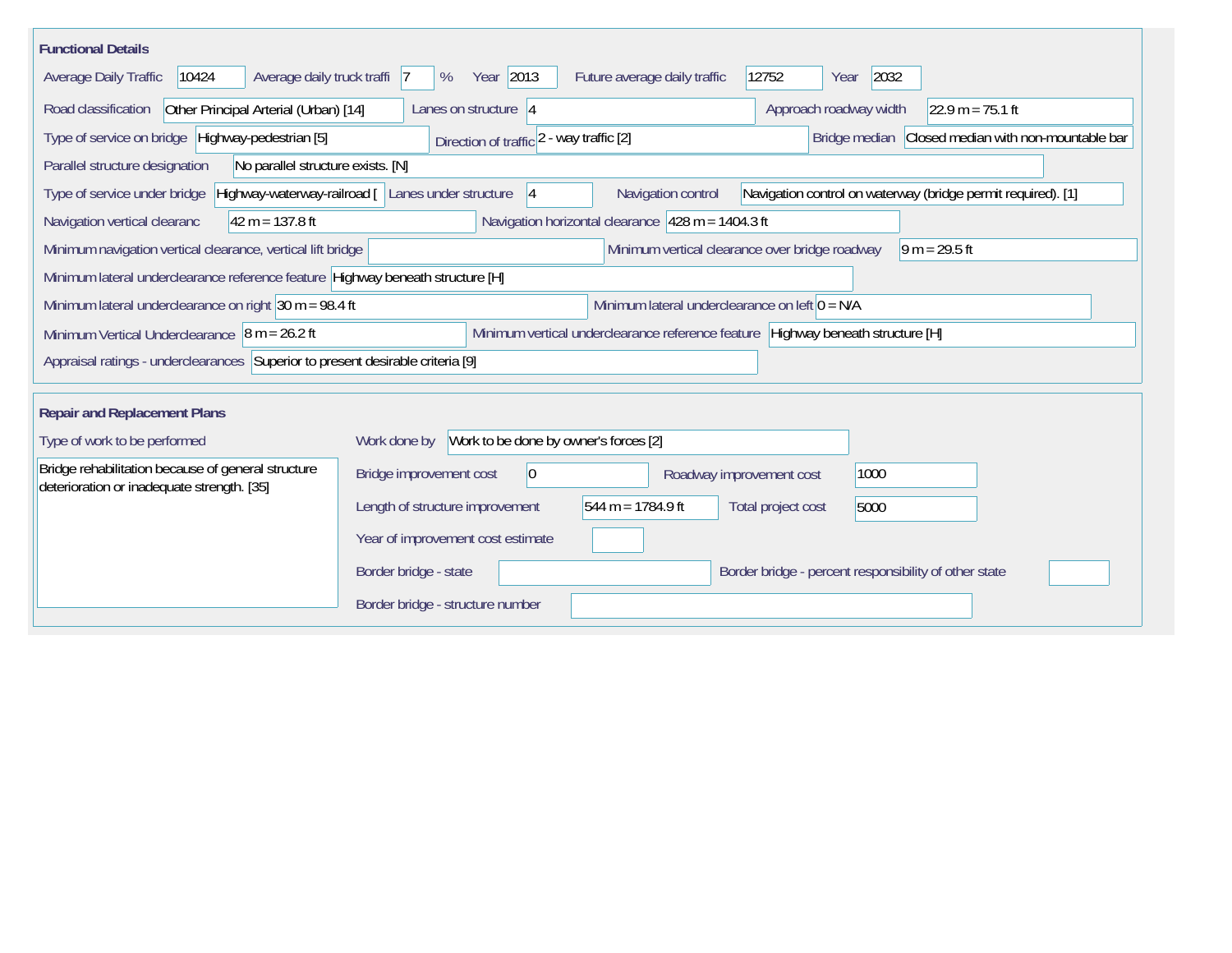| <b>Functional Details</b>                                                                                                                                                     |                                                       |                              |                                                       |                    |  |  |  |
|-------------------------------------------------------------------------------------------------------------------------------------------------------------------------------|-------------------------------------------------------|------------------------------|-------------------------------------------------------|--------------------|--|--|--|
| Average daily truck traffi 7<br>Average Daily Traffic<br>10424                                                                                                                | Year 2013<br>%                                        | Future average daily traffic | 12752<br>2032<br>Year                                 |                    |  |  |  |
| Other Principal Arterial (Urban) [14]<br>Road classification                                                                                                                  | Lanes on structure 4                                  |                              | Approach roadway width                                | $22.9 m = 75.1 ft$ |  |  |  |
| Type of service on bridge Highway-pedestrian [5]<br>Bridge median<br>Closed median with non-mountable bar<br>Direction of traffic 2 - way traffic [2]                         |                                                       |                              |                                                       |                    |  |  |  |
| Parallel structure designation<br>No parallel structure exists. [N]                                                                                                           |                                                       |                              |                                                       |                    |  |  |  |
| Highway-waterway-railroad [ Lanes under structure<br>Navigation control on waterway (bridge permit required). [1]<br>Type of service under bridge<br>Navigation control<br> 4 |                                                       |                              |                                                       |                    |  |  |  |
| Navigation horizontal clearance $428 m = 1404.3 ft$<br>$42 m = 137.8 ft$<br>Navigation vertical clearanc                                                                      |                                                       |                              |                                                       |                    |  |  |  |
| Minimum vertical clearance over bridge roadway<br>Minimum navigation vertical clearance, vertical lift bridge<br>$\sqrt{9}$ m = 29.5 ft                                       |                                                       |                              |                                                       |                    |  |  |  |
| Minimum lateral underclearance reference feature Highway beneath structure [H]                                                                                                |                                                       |                              |                                                       |                    |  |  |  |
| Minimum lateral underclearance on left $0 = N/A$<br>Minimum lateral underclearance on right $30 m = 98.4 ft$                                                                  |                                                       |                              |                                                       |                    |  |  |  |
| Minimum vertical underclearance reference feature Highway beneath structure [H]<br>Minimum Vertical Underclearance $\vert$ 8 m = 26.2 ft                                      |                                                       |                              |                                                       |                    |  |  |  |
| Appraisal ratings - underclearances Superior to present desirable criteria [9]                                                                                                |                                                       |                              |                                                       |                    |  |  |  |
|                                                                                                                                                                               |                                                       |                              |                                                       |                    |  |  |  |
| <b>Repair and Replacement Plans</b>                                                                                                                                           |                                                       |                              |                                                       |                    |  |  |  |
| Type of work to be performed                                                                                                                                                  | Work to be done by owner's forces [2]<br>Work done by |                              |                                                       |                    |  |  |  |
| Bridge rehabilitation because of general structure<br>deterioration or inadequate strength. [35]                                                                              | $ 0\rangle$<br>Bridge improvement cost                | Roadway improvement cost     | 1000                                                  |                    |  |  |  |
|                                                                                                                                                                               | Length of structure improvement                       | 544 m = $1784.9$ ft          | Total project cost<br>5000                            |                    |  |  |  |
|                                                                                                                                                                               | Year of improvement cost estimate                     |                              |                                                       |                    |  |  |  |
|                                                                                                                                                                               | Border bridge - state                                 |                              | Border bridge - percent responsibility of other state |                    |  |  |  |
|                                                                                                                                                                               | Border bridge - structure number                      |                              |                                                       |                    |  |  |  |